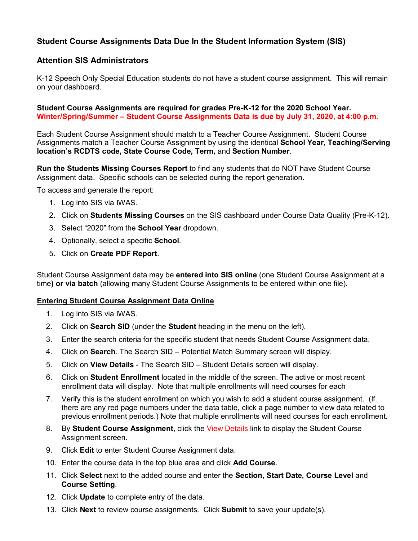# **Student Course Assignments Data Due In the Student Information System (SIS)**

## **Attention SIS Administrators**

K-12 Speech Only Special Education students do not have a student course assignment. This will remain on your dashboard.

**Student Course Assignments are required for grades Pre-K-12 for the 2020 School Year. Winter/Spring/Summer – Student Course Assignments Data is due by July 31, 2020, at 4:00 p.m.**

Each Student Course Assignment should match to a Teacher Course Assignment. Student Course Assignments match a Teacher Course Assignment by using the identical **School Year, Teaching/Serving location's RCDTS code, State Course Code, Term,** and **Section Number**.

**Run the Students Missing Courses Report** to find any students that do NOT have Student Course Assignment data. Specific schools can be selected during the report generation.

To access and generate the report:

- 1. Log into SIS via IWAS.
- 2. Click on **Students Missing Courses** on the SIS dashboard under Course Data Quality (Pre-K-12).
- 3. Select "2020" from the **School Year** dropdown.
- 4. Optionally, select a specific **School**.
- 5. Click on **Create PDF Report**.

Student Course Assignment data may be **entered into SIS online** (one Student Course Assignment at a time**) or via batch** (allowing many Student Course Assignments to be entered within one file).

#### **Entering Student Course Assignment Data Online**

- 1. Log into SIS via IWAS.
- 2. Click on **Search SID** (under the **Student** heading in the menu on the left).
- 3. Enter the search criteria for the specific student that needs Student Course Assignment data.
- 4. Click on **Search**. The Search SID Potential Match Summary screen will display.
- 5. Click on **View Details** The Search SID Student Details screen will display.
- 6. Click on **Student Enrollment** located in the middle of the screen. The active or most recent enrollment data will display. Note that multiple enrollments will need courses for each
- 7. Verify this is the student enrollment on which you wish to add a student course assignment. (If there are any red page numbers under the data table, click a page number to view data related to previous enrollment periods.) Note that multiple enrollments will need courses for each enrollment.
- 8. By **Student Course Assignment,** click the View Details link to display the Student Course Assignment screen.
- 9. Click **Edit** to enter Student Course Assignment data.
- 10. Enter the course data in the top blue area and click **Add Course**.
- 11. Click **Select** next to the added course and enter the **Section, Start Date, Course Level** and **Course Setting**.
- 12. Click **Update** to complete entry of the data.
- 13. Click **Next** to review course assignments. Click **Submit** to save your update(s).